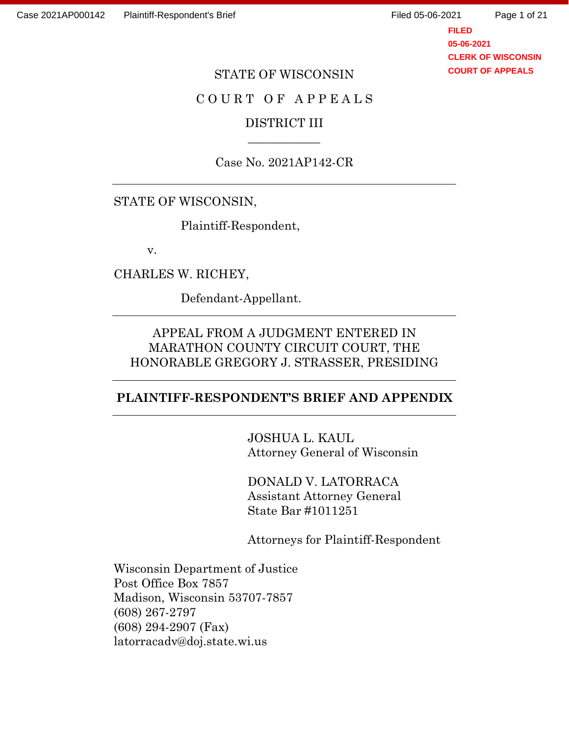**FILED 05-06-2021 CLERK OF WISCONSIN COURT OF APPEALS**

#### STATE OF WISCONSIN

# COURT OF APPEALS

## DISTRICT III  $\overline{\phantom{a}}$

Case No. 2021AP142-CR

## STATE OF WISCONSIN,

Plaintiff-Respondent,

v.

CHARLES W. RICHEY,

Defendant-Appellant.

# APPEAL FROM A JUDGMENT ENTERED IN MARATHON COUNTY CIRCUIT COURT, THE HONORABLE GREGORY J. STRASSER, PRESIDING

#### **PLAINTIFF-RESPONDENT'S BRIEF AND APPENDIX**

JOSHUA L. KAUL Attorney General of Wisconsin

DONALD V. LATORRACA Assistant Attorney General State Bar #1011251

Attorneys for Plaintiff-Respondent

Wisconsin Department of Justice Post Office Box 7857 Madison, Wisconsin 53707-7857 (608) 267-2797 (608) 294-2907 (Fax) latorracadv@doj.state.wi.us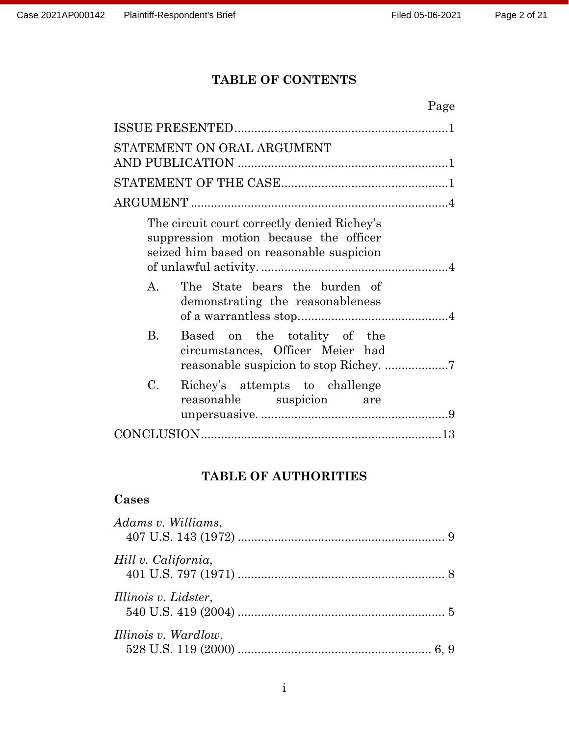# **TABLE OF CONTENTS**

| Page                                                                                                                              |
|-----------------------------------------------------------------------------------------------------------------------------------|
|                                                                                                                                   |
| STATEMENT ON ORAL ARGUMENT                                                                                                        |
|                                                                                                                                   |
|                                                                                                                                   |
|                                                                                                                                   |
| The circuit court correctly denied Richey's<br>suppression motion because the officer<br>seized him based on reasonable suspicion |
| The State bears the burden of<br>$A_{\cdot}$<br>demonstrating the reasonableness                                                  |
| Based on the totality of the<br>$\rm B$ .<br>circumstances, Officer Meier had                                                     |
| C.<br>Richey's attempts to challenge<br>reasonable suspicion are                                                                  |
|                                                                                                                                   |

# **TABLE OF AUTHORITIES**

# **Cases**

| Adams v. Williams,   |  |
|----------------------|--|
| Hill v. California,  |  |
| Illinois v. Lidster, |  |
| Illinois v. Wardlow, |  |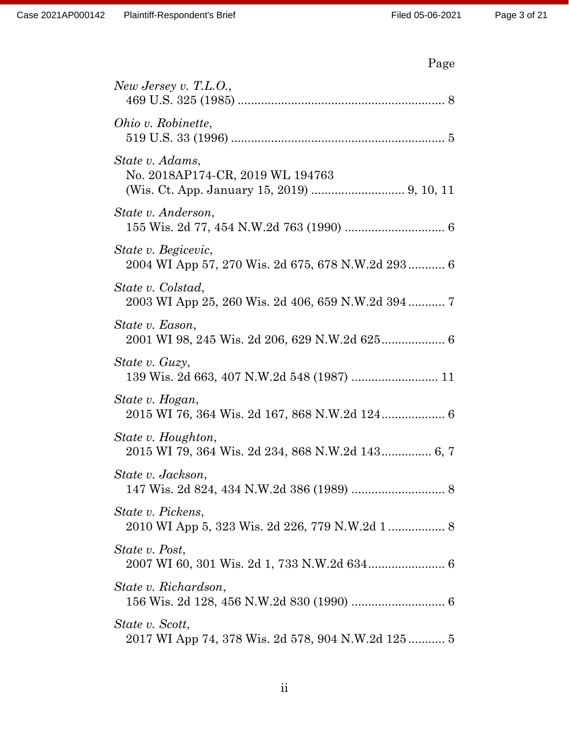# Page

| New Jersey v. T.L.O.,                                                    |
|--------------------------------------------------------------------------|
| Ohio v. Robinette,                                                       |
| State v. Adams,<br>No. 2018AP174-CR, 2019 WL 194763                      |
| State v. Anderson,                                                       |
| State v. Begicevic,<br>2004 WI App 57, 270 Wis. 2d 675, 678 N.W.2d 293 6 |
| State v. Colstad,                                                        |
| State v. Eason,                                                          |
| State v. Guzy,<br>139 Wis. 2d 663, 407 N.W.2d 548 (1987)  11             |
| State v. Hogan,<br>2015 WI 76, 364 Wis. 2d 167, 868 N.W.2d 124 6         |
| State v. Houghton,<br>2015 WI 79, 364 Wis. 2d 234, 868 N.W.2d 143 6, 7   |
| State v. Jackson,                                                        |
| <i>State v. Pickens,</i>                                                 |
| State v. Post,                                                           |
| State v. Richardson,                                                     |
| State v. Scott,<br>2017 WI App 74, 378 Wis. 2d 578, 904 N.W.2d 125 5     |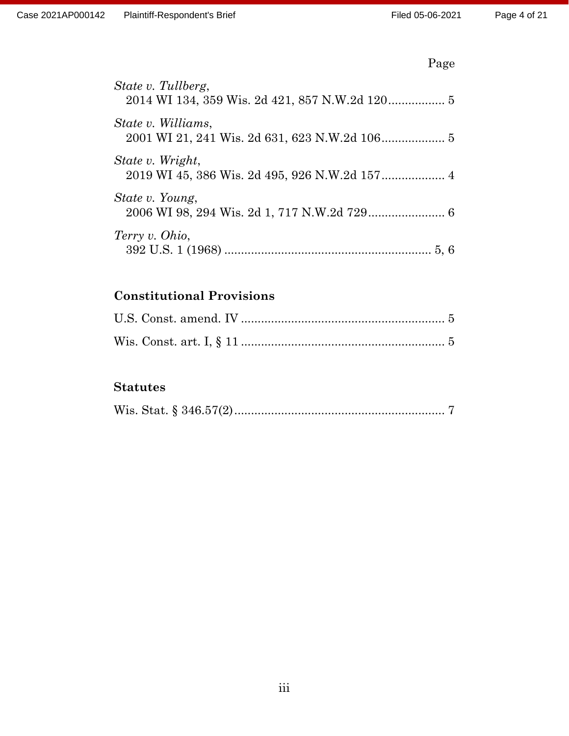# Page

| State v. Tullberg, |
|--------------------|
| State v. Williams, |
| State v. Wright,   |
| State v. Young,    |
| Terry v. Ohio,     |

# **Constitutional Provisions**

# **Statutes**

|--|--|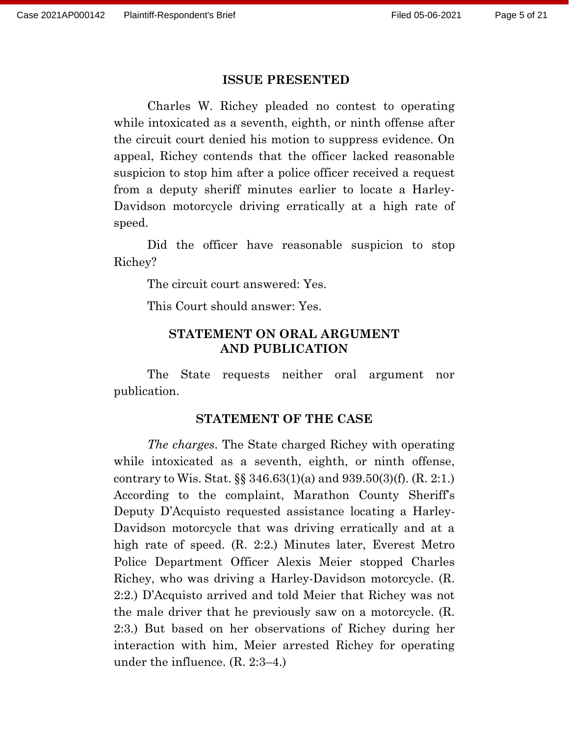#### **ISSUE PRESENTED**

Charles W. Richey pleaded no contest to operating while intoxicated as a seventh, eighth, or ninth offense after the circuit court denied his motion to suppress evidence. On appeal, Richey contends that the officer lacked reasonable suspicion to stop him after a police officer received a request from a deputy sheriff minutes earlier to locate a Harley-Davidson motorcycle driving erratically at a high rate of speed.

Did the officer have reasonable suspicion to stop Richey?

The circuit court answered: Yes.

This Court should answer: Yes.

#### **STATEMENT ON ORAL ARGUMENT AND PUBLICATION**

The State requests neither oral argument nor publication.

#### **STATEMENT OF THE CASE**

*The charges*. The State charged Richey with operating while intoxicated as a seventh, eighth, or ninth offense, contrary to Wis. Stat. §§ 346.63(1)(a) and 939.50(3)(f). (R. 2:1.) According to the complaint, Marathon County Sheriff's Deputy D'Acquisto requested assistance locating a Harley-Davidson motorcycle that was driving erratically and at a high rate of speed. (R. 2:2.) Minutes later, Everest Metro Police Department Officer Alexis Meier stopped Charles Richey, who was driving a Harley-Davidson motorcycle. (R. 2:2.) D'Acquisto arrived and told Meier that Richey was not the male driver that he previously saw on a motorcycle. (R. 2:3.) But based on her observations of Richey during her interaction with him, Meier arrested Richey for operating under the influence. (R. 2:3–4.)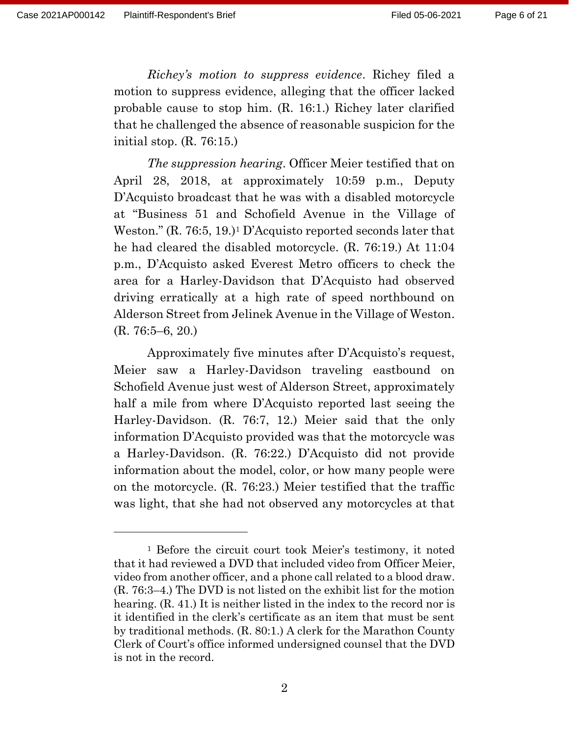*Richey's motion to suppress evidence*. Richey filed a motion to suppress evidence, alleging that the officer lacked probable cause to stop him. (R. 16:1.) Richey later clarified that he challenged the absence of reasonable suspicion for the initial stop. (R. 76:15.)

*The suppression hearing*. Officer Meier testified that on April 28, 2018, at approximately 10:59 p.m., Deputy D'Acquisto broadcast that he was with a disabled motorcycle at "Business 51 and Schofield Avenue in the Village of Weston." (R. 76:5, 19.)<sup>1</sup> D'Acquisto reported seconds later that he had cleared the disabled motorcycle. (R. 76:19.) At 11:04 p.m., D'Acquisto asked Everest Metro officers to check the area for a Harley-Davidson that D'Acquisto had observed driving erratically at a high rate of speed northbound on Alderson Street from Jelinek Avenue in the Village of Weston. (R. 76:5–6, 20.)

Approximately five minutes after D'Acquisto's request, Meier saw a Harley-Davidson traveling eastbound on Schofield Avenue just west of Alderson Street, approximately half a mile from where D'Acquisto reported last seeing the Harley-Davidson. (R. 76:7, 12.) Meier said that the only information D'Acquisto provided was that the motorcycle was a Harley-Davidson. (R. 76:22.) D'Acquisto did not provide information about the model, color, or how many people were on the motorcycle. (R. 76:23.) Meier testified that the traffic was light, that she had not observed any motorcycles at that

<sup>1</sup> Before the circuit court took Meier's testimony, it noted that it had reviewed a DVD that included video from Officer Meier, video from another officer, and a phone call related to a blood draw. (R. 76:3–4.) The DVD is not listed on the exhibit list for the motion hearing. (R. 41.) It is neither listed in the index to the record nor is it identified in the clerk's certificate as an item that must be sent by traditional methods. (R. 80:1.) A clerk for the Marathon County Clerk of Court's office informed undersigned counsel that the DVD is not in the record.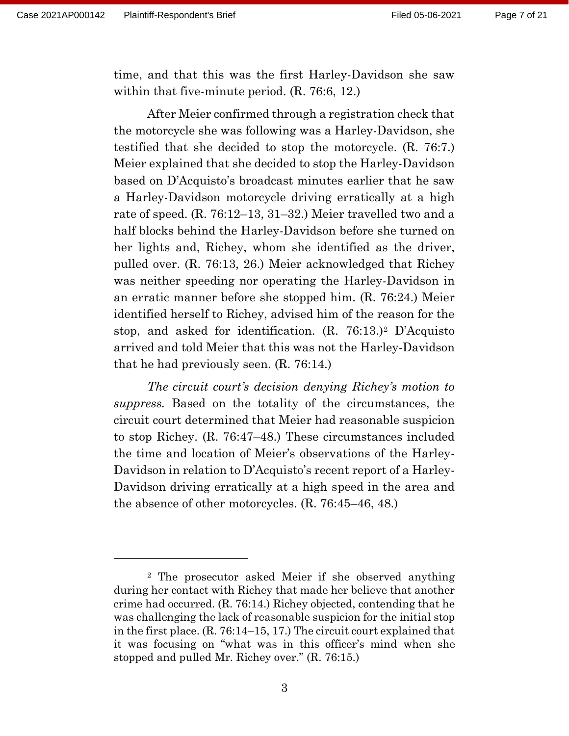time, and that this was the first Harley-Davidson she saw within that five-minute period. (R. 76:6, 12.)

After Meier confirmed through a registration check that the motorcycle she was following was a Harley-Davidson, she testified that she decided to stop the motorcycle. (R. 76:7.) Meier explained that she decided to stop the Harley-Davidson based on D'Acquisto's broadcast minutes earlier that he saw a Harley-Davidson motorcycle driving erratically at a high rate of speed. (R. 76:12–13, 31–32.) Meier travelled two and a half blocks behind the Harley-Davidson before she turned on her lights and, Richey, whom she identified as the driver, pulled over. (R. 76:13, 26.) Meier acknowledged that Richey was neither speeding nor operating the Harley-Davidson in an erratic manner before she stopped him. (R. 76:24.) Meier identified herself to Richey, advised him of the reason for the stop, and asked for identification. (R. 76:13.)<sup>2</sup> D'Acquisto arrived and told Meier that this was not the Harley-Davidson that he had previously seen. (R. 76:14.)

*The circuit court's decision denying Richey's motion to suppress.* Based on the totality of the circumstances, the circuit court determined that Meier had reasonable suspicion to stop Richey. (R. 76:47–48.) These circumstances included the time and location of Meier's observations of the Harley-Davidson in relation to D'Acquisto's recent report of a Harley-Davidson driving erratically at a high speed in the area and the absence of other motorcycles. (R. 76:45–46, 48.)

<sup>2</sup> The prosecutor asked Meier if she observed anything during her contact with Richey that made her believe that another crime had occurred. (R. 76:14.) Richey objected, contending that he was challenging the lack of reasonable suspicion for the initial stop in the first place. (R. 76:14–15, 17.) The circuit court explained that it was focusing on "what was in this officer's mind when she stopped and pulled Mr. Richey over." (R. 76:15.)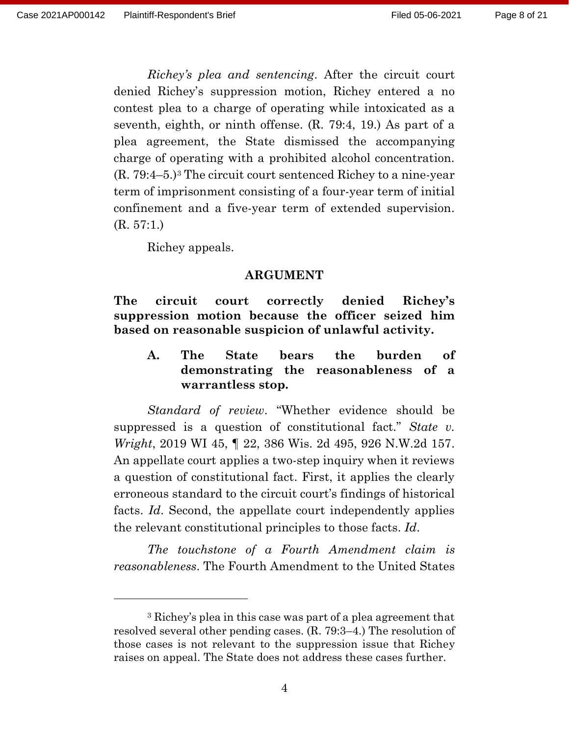*Richey's plea and sentencing*. After the circuit court denied Richey's suppression motion, Richey entered a no contest plea to a charge of operating while intoxicated as a seventh, eighth, or ninth offense. (R. 79:4, 19.) As part of a plea agreement, the State dismissed the accompanying charge of operating with a prohibited alcohol concentration. (R. 79:4–5.)<sup>3</sup> The circuit court sentenced Richey to a nine-year term of imprisonment consisting of a four-year term of initial confinement and a five-year term of extended supervision. (R. 57:1.)

Richey appeals.

#### **ARGUMENT**

**The circuit court correctly denied Richey's suppression motion because the officer seized him based on reasonable suspicion of unlawful activity.**

**A. The State bears the burden of demonstrating the reasonableness of a warrantless stop.**

*Standard of review*. "Whether evidence should be suppressed is a question of constitutional fact." *State v. Wright*, 2019 WI 45, ¶ 22, 386 Wis. 2d 495, 926 N.W.2d 157. An appellate court applies a two-step inquiry when it reviews a question of constitutional fact. First, it applies the clearly erroneous standard to the circuit court's findings of historical facts. *Id*. Second, the appellate court independently applies the relevant constitutional principles to those facts. *Id*.

*The touchstone of a Fourth Amendment claim is reasonableness*. The Fourth Amendment to the United States

<sup>3</sup> Richey's plea in this case was part of a plea agreement that resolved several other pending cases. (R. 79:3–4.) The resolution of those cases is not relevant to the suppression issue that Richey raises on appeal. The State does not address these cases further.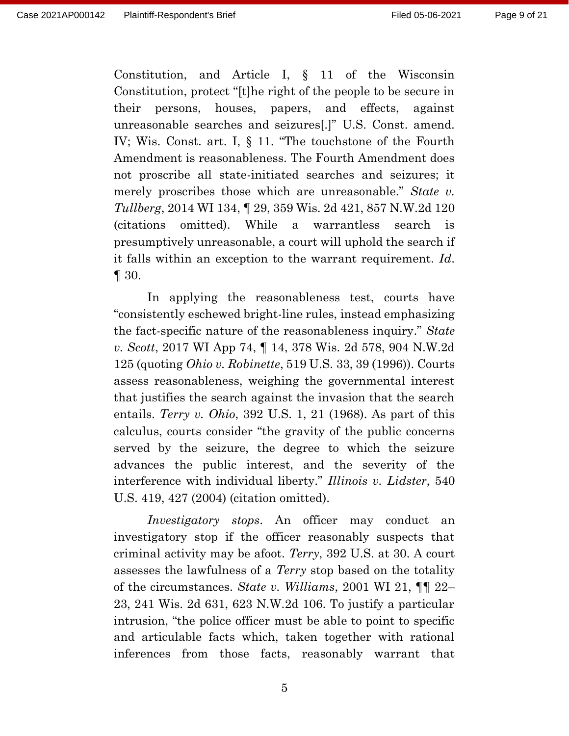Constitution, and Article I, § 11 of the Wisconsin Constitution, protect "[t]he right of the people to be secure in their persons, houses, papers, and effects, against unreasonable searches and seizures[.]" U.S. Const. amend. IV; Wis. Const. art. I, § 11. "The touchstone of the Fourth Amendment is reasonableness. The Fourth Amendment does not proscribe all state-initiated searches and seizures; it merely proscribes those which are unreasonable." *State v. Tullberg*, 2014 WI 134, ¶ 29, 359 Wis. 2d 421, 857 N.W.2d 120 (citations omitted). While a warrantless search is presumptively unreasonable, a court will uphold the search if it falls within an exception to the warrant requirement. *Id*. ¶ 30.

In applying the reasonableness test, courts have "consistently eschewed bright-line rules, instead emphasizing the fact-specific nature of the reasonableness inquiry." *State v. Scott*, 2017 WI App 74, ¶ 14, 378 Wis. 2d 578, 904 N.W.2d 125 (quoting *Ohio v. Robinette*, 519 U.S. 33, 39 (1996)). Courts assess reasonableness, weighing the governmental interest that justifies the search against the invasion that the search entails. *Terry v. Ohio*, 392 U.S. 1, 21 (1968). As part of this calculus, courts consider "the gravity of the public concerns served by the seizure, the degree to which the seizure advances the public interest, and the severity of the interference with individual liberty." *Illinois v. Lidster*, 540 U.S. 419, 427 (2004) (citation omitted).

*Investigatory stops*. An officer may conduct an investigatory stop if the officer reasonably suspects that criminal activity may be afoot. *Terry*, 392 U.S. at 30. A court assesses the lawfulness of a *Terry* stop based on the totality of the circumstances. *State v. Williams*, 2001 WI 21, ¶¶ 22– 23, 241 Wis. 2d 631, 623 N.W.2d 106. To justify a particular intrusion, "the police officer must be able to point to specific and articulable facts which, taken together with rational inferences from those facts, reasonably warrant that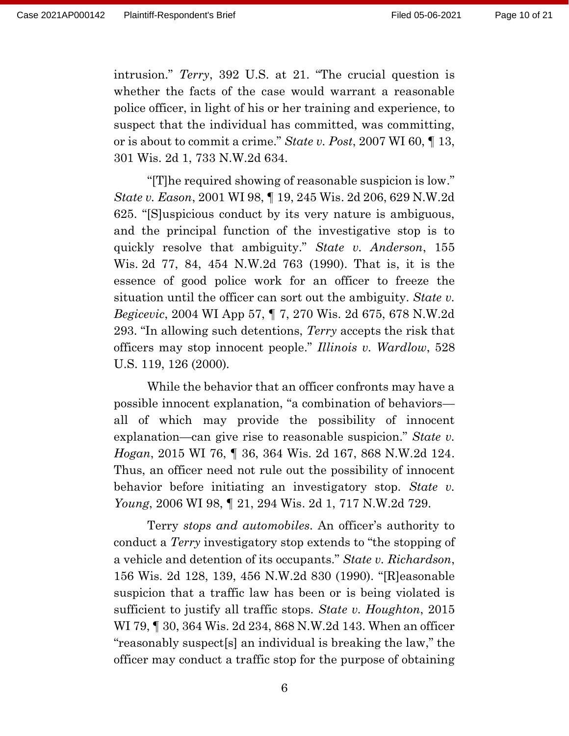intrusion." *Terry*, 392 U.S. at 21. "The crucial question is whether the facts of the case would warrant a reasonable police officer, in light of his or her training and experience, to suspect that the individual has committed, was committing, or is about to commit a crime." *State v. Post*, 2007 WI 60, ¶ 13, 301 Wis. 2d 1, 733 N.W.2d 634.

"[T]he required showing of reasonable suspicion is low." *State v. Eason*, 2001 WI 98, ¶ 19, 245 Wis. 2d 206, 629 N.W.2d 625. "[S]uspicious conduct by its very nature is ambiguous, and the principal function of the investigative stop is to quickly resolve that ambiguity." *State v. Anderson*, 155 Wis. 2d 77, 84, 454 N.W.2d 763 (1990). That is, it is the essence of good police work for an officer to freeze the situation until the officer can sort out the ambiguity. *State v. Begicevic*, 2004 WI App 57, ¶ 7, 270 Wis. 2d 675, 678 N.W.2d 293. "In allowing such detentions, *Terry* accepts the risk that officers may stop innocent people." *Illinois v. Wardlow*, 528 U.S. 119, 126 (2000)*.*

While the behavior that an officer confronts may have a possible innocent explanation, "a combination of behaviors all of which may provide the possibility of innocent explanation—can give rise to reasonable suspicion." *State v. Hogan*, 2015 WI 76, ¶ 36, 364 Wis. 2d 167, 868 N.W.2d 124. Thus, an officer need not rule out the possibility of innocent behavior before initiating an investigatory stop. *State v. Young*, 2006 WI 98, ¶ 21, 294 Wis. 2d 1, 717 N.W.2d 729.

Terry *stops and automobiles*. An officer's authority to conduct a *Terry* investigatory stop extends to "the stopping of a vehicle and detention of its occupants." *State v. Richardson*, 156 Wis. 2d 128, 139, 456 N.W.2d 830 (1990). "[R]easonable suspicion that a traffic law has been or is being violated is sufficient to justify all traffic stops. *State v. Houghton*, 2015 WI 79, ¶ 30, 364 Wis. 2d 234, 868 N.W.2d 143. When an officer "reasonably suspect[s] an individual is breaking the law," the officer may conduct a traffic stop for the purpose of obtaining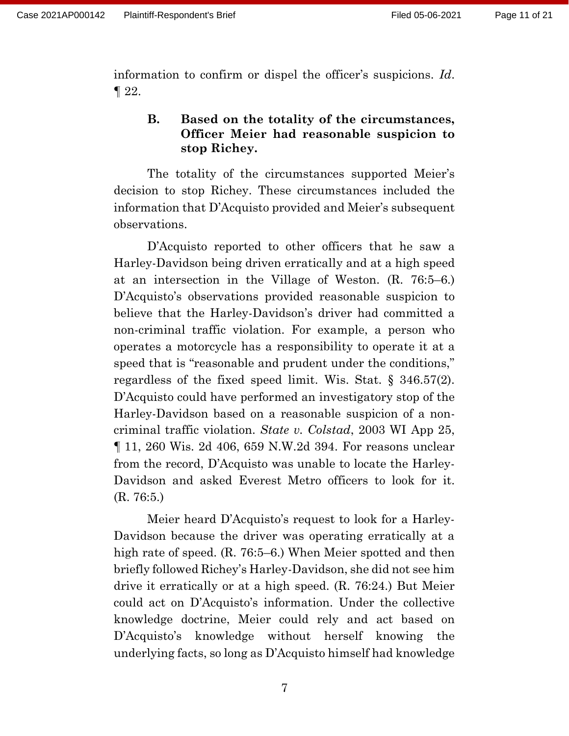information to confirm or dispel the officer's suspicions. *Id*. ¶ 22.

# **B. Based on the totality of the circumstances, Officer Meier had reasonable suspicion to stop Richey.**

The totality of the circumstances supported Meier's decision to stop Richey. These circumstances included the information that D'Acquisto provided and Meier's subsequent observations.

D'Acquisto reported to other officers that he saw a Harley-Davidson being driven erratically and at a high speed at an intersection in the Village of Weston. (R. 76:5–6.) D'Acquisto's observations provided reasonable suspicion to believe that the Harley-Davidson's driver had committed a non-criminal traffic violation. For example, a person who operates a motorcycle has a responsibility to operate it at a speed that is "reasonable and prudent under the conditions," regardless of the fixed speed limit. Wis. Stat. § 346.57(2). D'Acquisto could have performed an investigatory stop of the Harley-Davidson based on a reasonable suspicion of a noncriminal traffic violation. *State v. Colstad*, 2003 WI App 25, ¶ 11, 260 Wis. 2d 406, 659 N.W.2d 394. For reasons unclear from the record, D'Acquisto was unable to locate the Harley-Davidson and asked Everest Metro officers to look for it. (R. 76:5.)

Meier heard D'Acquisto's request to look for a Harley-Davidson because the driver was operating erratically at a high rate of speed. (R. 76:5–6.) When Meier spotted and then briefly followed Richey's Harley-Davidson, she did not see him drive it erratically or at a high speed. (R. 76:24.) But Meier could act on D'Acquisto's information. Under the collective knowledge doctrine, Meier could rely and act based on D'Acquisto's knowledge without herself knowing the underlying facts, so long as D'Acquisto himself had knowledge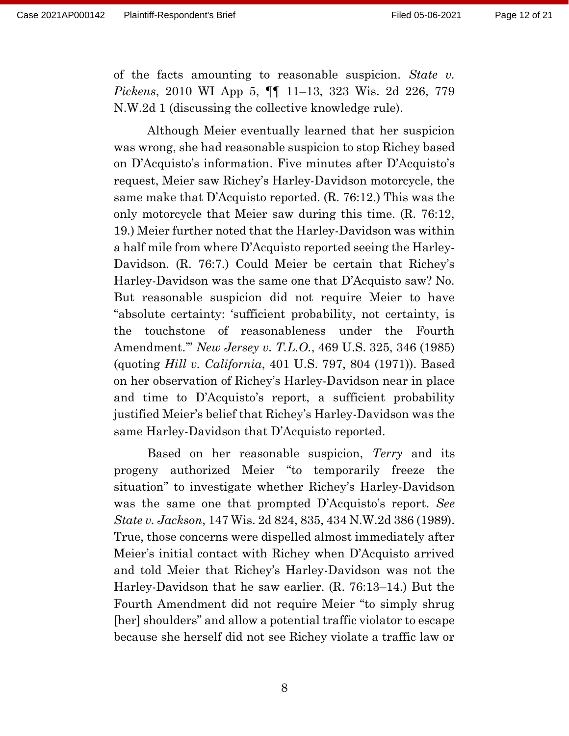of the facts amounting to reasonable suspicion. *State v. Pickens*, 2010 WI App 5, ¶¶ 11–13, 323 Wis. 2d 226, 779 N.W.2d 1 (discussing the collective knowledge rule).

Although Meier eventually learned that her suspicion was wrong, she had reasonable suspicion to stop Richey based on D'Acquisto's information. Five minutes after D'Acquisto's request, Meier saw Richey's Harley-Davidson motorcycle, the same make that D'Acquisto reported. (R. 76:12.) This was the only motorcycle that Meier saw during this time. (R. 76:12, 19.) Meier further noted that the Harley-Davidson was within a half mile from where D'Acquisto reported seeing the Harley-Davidson. (R. 76:7.) Could Meier be certain that Richey's Harley-Davidson was the same one that D'Acquisto saw? No. But reasonable suspicion did not require Meier to have "absolute certainty: 'sufficient probability, not certainty, is the touchstone of reasonableness under the Fourth Amendment.'" *New Jersey v. T.L.O.*, 469 U.S. 325, 346 (1985) (quoting *Hill v. California*, 401 U.S. 797, 804 (1971)). Based on her observation of Richey's Harley-Davidson near in place and time to D'Acquisto's report, a sufficient probability justified Meier's belief that Richey's Harley-Davidson was the same Harley-Davidson that D'Acquisto reported.

Based on her reasonable suspicion, *Terry* and its progeny authorized Meier "to temporarily freeze the situation" to investigate whether Richey's Harley-Davidson was the same one that prompted D'Acquisto's report. *See State v. Jackson*, 147 Wis. 2d 824, 835, 434 N.W.2d 386 (1989). True, those concerns were dispelled almost immediately after Meier's initial contact with Richey when D'Acquisto arrived and told Meier that Richey's Harley-Davidson was not the Harley-Davidson that he saw earlier. (R. 76:13–14.) But the Fourth Amendment did not require Meier "to simply shrug [her] shoulders" and allow a potential traffic violator to escape because she herself did not see Richey violate a traffic law or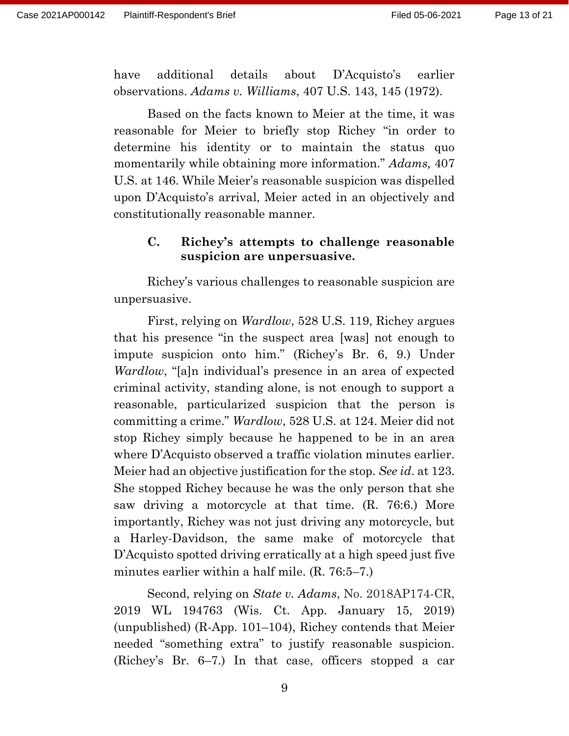have additional details about D'Acquisto's earlier observations. *Adams v. Williams*, 407 U.S. 143, 145 (1972).

Based on the facts known to Meier at the time, it was reasonable for Meier to briefly stop Richey "in order to determine his identity or to maintain the status quo momentarily while obtaining more information." *Adams,* 407 U.S. at 146. While Meier's reasonable suspicion was dispelled upon D'Acquisto's arrival, Meier acted in an objectively and constitutionally reasonable manner.

## **C. Richey's attempts to challenge reasonable suspicion are unpersuasive.**

Richey's various challenges to reasonable suspicion are unpersuasive.

First, relying on *Wardlow*, 528 U.S. 119, Richey argues that his presence "in the suspect area [was] not enough to impute suspicion onto him." (Richey's Br. 6, 9.) Under *Wardlow*, "[a]n individual's presence in an area of expected criminal activity, standing alone, is not enough to support a reasonable, particularized suspicion that the person is committing a crime." *Wardlow*, 528 U.S. at 124. Meier did not stop Richey simply because he happened to be in an area where D'Acquisto observed a traffic violation minutes earlier. Meier had an objective justification for the stop. *See id*. at 123. She stopped Richey because he was the only person that she saw driving a motorcycle at that time. (R. 76:6.) More importantly, Richey was not just driving any motorcycle, but a Harley-Davidson, the same make of motorcycle that D'Acquisto spotted driving erratically at a high speed just five minutes earlier within a half mile. (R. 76:5–7.)

Second, relying on *State v. Adams*, No. 2018AP174-CR, 2019 WL 194763 (Wis. Ct. App. January 15, 2019) (unpublished) (R-App. 101–104), Richey contends that Meier needed "something extra" to justify reasonable suspicion. (Richey's Br. 6–7.) In that case, officers stopped a car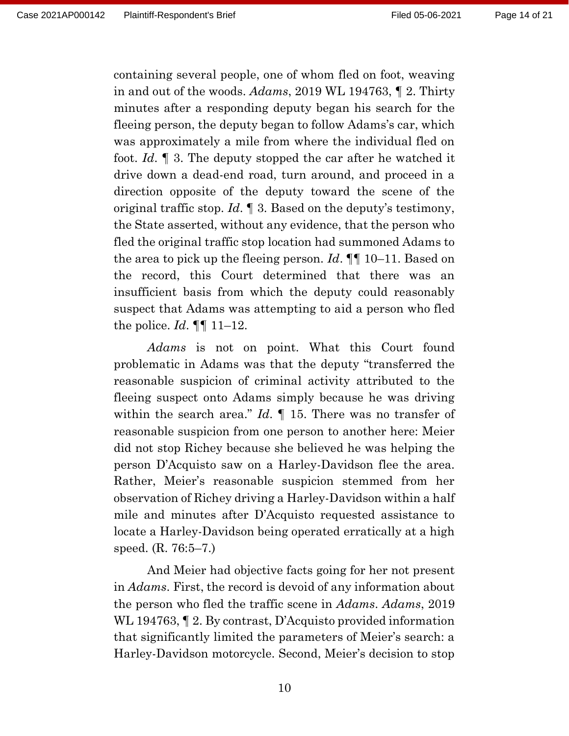containing several people, one of whom fled on foot, weaving in and out of the woods. *Adams*, 2019 WL 194763, ¶ 2. Thirty minutes after a responding deputy began his search for the fleeing person, the deputy began to follow Adams's car, which was approximately a mile from where the individual fled on foot. *Id*. ¶ 3. The deputy stopped the car after he watched it drive down a dead-end road, turn around, and proceed in a direction opposite of the deputy toward the scene of the original traffic stop. *Id*. ¶ 3. Based on the deputy's testimony, the State asserted, without any evidence, that the person who fled the original traffic stop location had summoned Adams to the area to pick up the fleeing person. *Id*. ¶¶ 10–11. Based on the record, this Court determined that there was an insufficient basis from which the deputy could reasonably suspect that Adams was attempting to aid a person who fled the police. *Id*. ¶¶ 11–12.

*Adams* is not on point. What this Court found problematic in Adams was that the deputy "transferred the reasonable suspicion of criminal activity attributed to the fleeing suspect onto Adams simply because he was driving within the search area." *Id*. ¶ 15. There was no transfer of reasonable suspicion from one person to another here: Meier did not stop Richey because she believed he was helping the person D'Acquisto saw on a Harley-Davidson flee the area. Rather, Meier's reasonable suspicion stemmed from her observation of Richey driving a Harley-Davidson within a half mile and minutes after D'Acquisto requested assistance to locate a Harley-Davidson being operated erratically at a high speed. (R. 76:5–7.)

And Meier had objective facts going for her not present in *Adams*. First, the record is devoid of any information about the person who fled the traffic scene in *Adams*. *Adams*, 2019 WL 194763,  $\llbracket$  2. By contrast, D'Acquisto provided information that significantly limited the parameters of Meier's search: a Harley-Davidson motorcycle. Second, Meier's decision to stop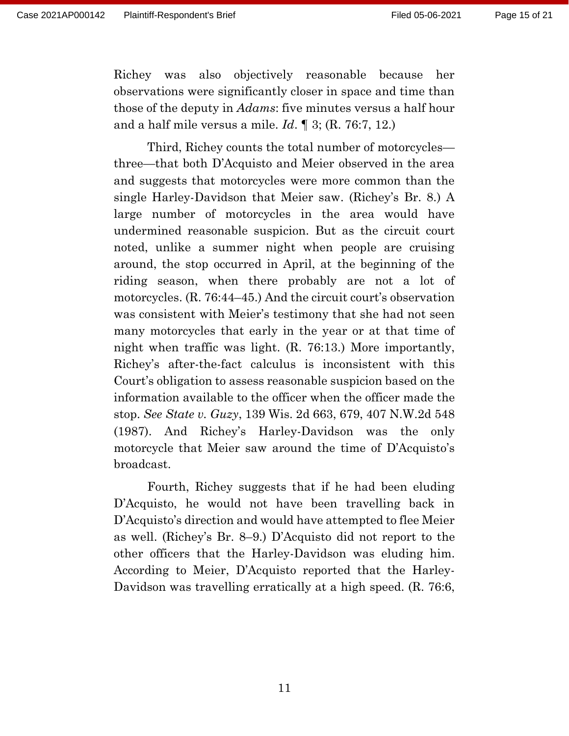Richey was also objectively reasonable because her observations were significantly closer in space and time than those of the deputy in *Adams*: five minutes versus a half hour and a half mile versus a mile. *Id*. ¶ 3; (R. 76:7, 12.)

Third, Richey counts the total number of motorcycles three—that both D'Acquisto and Meier observed in the area and suggests that motorcycles were more common than the single Harley-Davidson that Meier saw. (Richey's Br. 8.) A large number of motorcycles in the area would have undermined reasonable suspicion. But as the circuit court noted, unlike a summer night when people are cruising around, the stop occurred in April, at the beginning of the riding season, when there probably are not a lot of motorcycles. (R. 76:44–45.) And the circuit court's observation was consistent with Meier's testimony that she had not seen many motorcycles that early in the year or at that time of night when traffic was light. (R. 76:13.) More importantly, Richey's after-the-fact calculus is inconsistent with this Court's obligation to assess reasonable suspicion based on the information available to the officer when the officer made the stop. *See State v. Guzy*[, 139 Wis. 2d 663, 679, 407 N.W.2d 548](https://1.next.westlaw.com/Link/Document/FullText?findType=Y&serNum=1987080244&pubNum=0000824&originatingDoc=I2c7fad00f2c711eaa684fcd3f9c99774&refType=RP&fi=co_pp_sp_824_679&originationContext=document&transitionType=DocumentItem&contextData=(sc.Search)#co_pp_sp_824_679)  [\(1987\).](https://1.next.westlaw.com/Link/Document/FullText?findType=Y&serNum=1987080244&pubNum=0000824&originatingDoc=I2c7fad00f2c711eaa684fcd3f9c99774&refType=RP&fi=co_pp_sp_824_679&originationContext=document&transitionType=DocumentItem&contextData=(sc.Search)#co_pp_sp_824_679) And Richey's Harley-Davidson was the only motorcycle that Meier saw around the time of D'Acquisto's broadcast.

Fourth, Richey suggests that if he had been eluding D'Acquisto, he would not have been travelling back in D'Acquisto's direction and would have attempted to flee Meier as well. (Richey's Br. 8–9.) D'Acquisto did not report to the other officers that the Harley-Davidson was eluding him. According to Meier, D'Acquisto reported that the Harley-Davidson was travelling erratically at a high speed. (R. 76:6,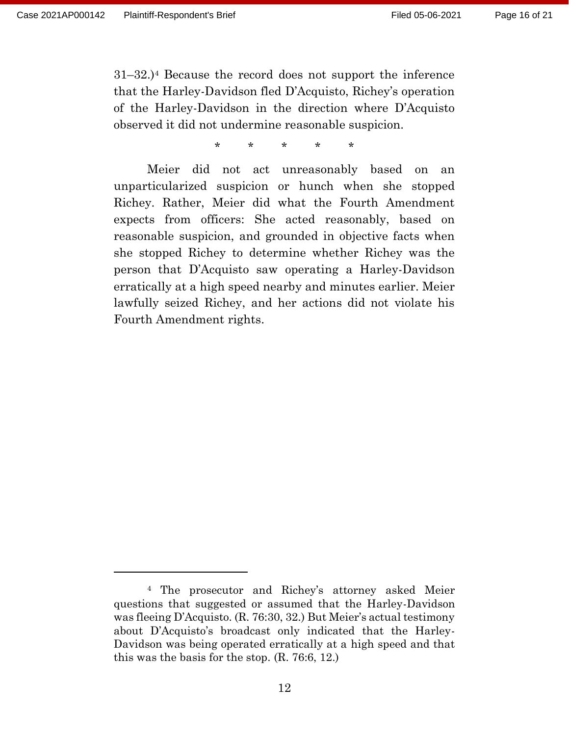31–32.)<sup>4</sup> Because the record does not support the inference that the Harley-Davidson fled D'Acquisto, Richey's operation of the Harley-Davidson in the direction where D'Acquisto observed it did not undermine reasonable suspicion.

\* \* \* \* \*

Meier did not act unreasonably based on an unparticularized suspicion or hunch when she stopped Richey. Rather, Meier did what the Fourth Amendment expects from officers: She acted reasonably, based on reasonable suspicion, and grounded in objective facts when she stopped Richey to determine whether Richey was the person that D'Acquisto saw operating a Harley-Davidson erratically at a high speed nearby and minutes earlier. Meier lawfully seized Richey, and her actions did not violate his Fourth Amendment rights.

<sup>4</sup> The prosecutor and Richey's attorney asked Meier questions that suggested or assumed that the Harley-Davidson was fleeing D'Acquisto. (R. 76:30, 32.) But Meier's actual testimony about D'Acquisto's broadcast only indicated that the Harley-Davidson was being operated erratically at a high speed and that this was the basis for the stop. (R. 76:6, 12.)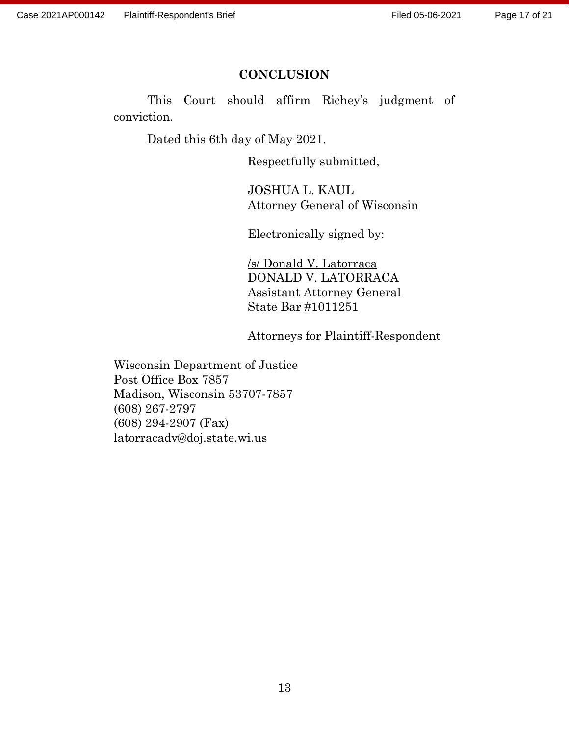#### **CONCLUSION**

This Court should affirm Richey's judgment of conviction.

Dated this 6th day of May 2021.

Respectfully submitted,

JOSHUA L. KAUL Attorney General of Wisconsin

Electronically signed by:

/s/ Donald V. Latorraca DONALD V. LATORRACA Assistant Attorney General State Bar #1011251

Attorneys for Plaintiff-Respondent

Wisconsin Department of Justice Post Office Box 7857 Madison, Wisconsin 53707-7857 (608) 267-2797 (608) 294-2907 (Fax) latorracadv@doj.state.wi.us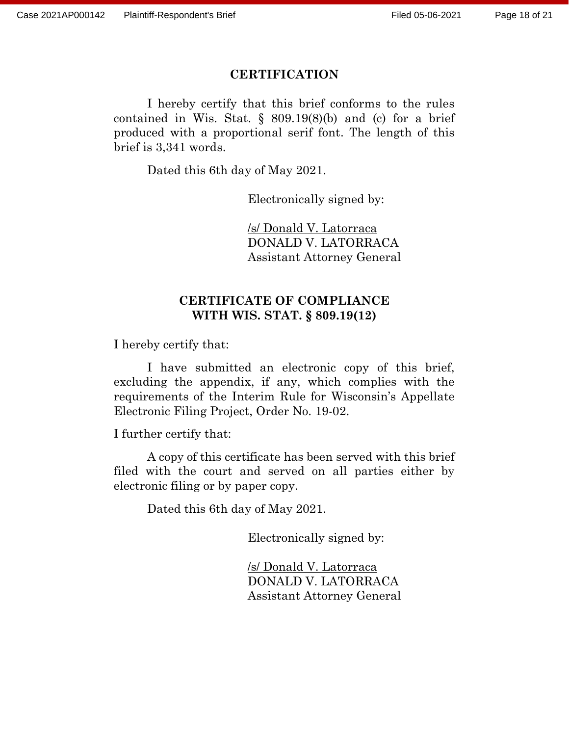#### **CERTIFICATION**

I hereby certify that this brief conforms to the rules contained in Wis. Stat.  $\S$  809.19(8)(b) and (c) for a brief produced with a proportional serif font. The length of this brief is 3,341 words.

Dated this 6th day of May 2021.

Electronically signed by:

/s/ Donald V. Latorraca DONALD V. LATORRACA Assistant Attorney General

### **CERTIFICATE OF COMPLIANCE WITH WIS. STAT. § 809.19(12)**

I hereby certify that:

I have submitted an electronic copy of this brief, excluding the appendix, if any, which complies with the requirements of the Interim Rule for Wisconsin's Appellate Electronic Filing Project, Order No. 19-02.

I further certify that:

A copy of this certificate has been served with this brief filed with the court and served on all parties either by electronic filing or by paper copy.

Dated this 6th day of May 2021.

Electronically signed by:

/s/ Donald V. Latorraca DONALD V. LATORRACA Assistant Attorney General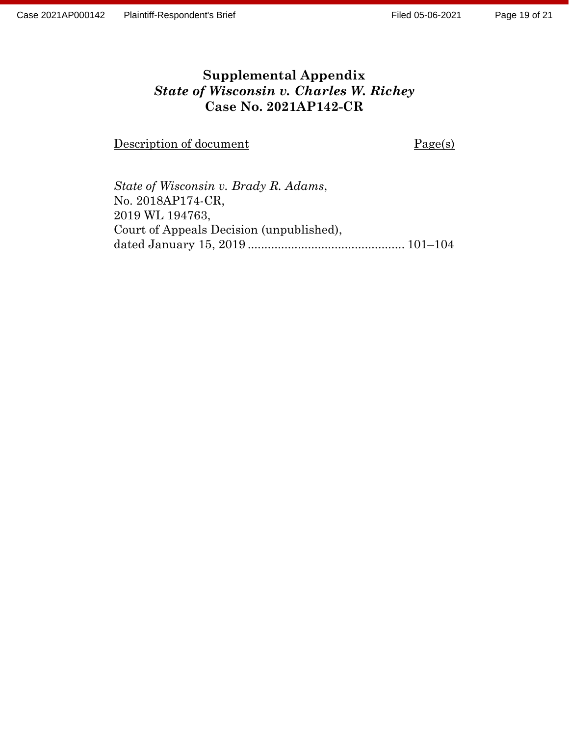# **Supplemental Appendix** *State of Wisconsin v. Charles W. Richey* **Case No. 2021AP142-CR**

Description of document Page(s)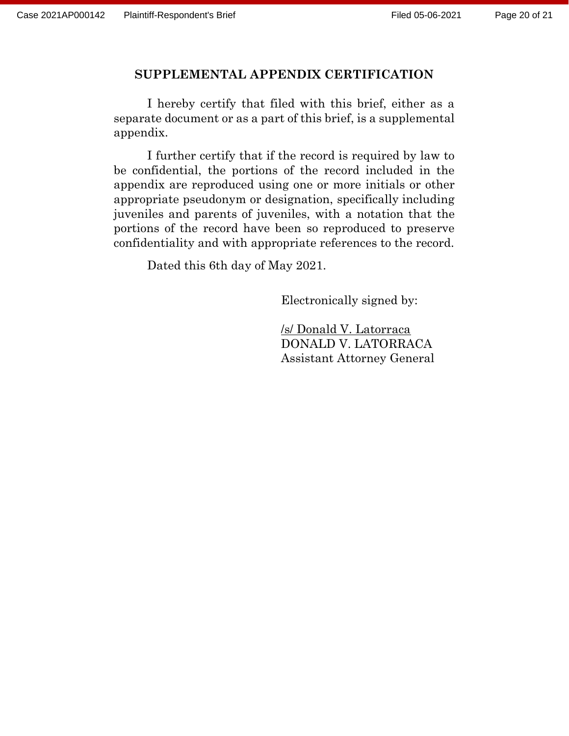### **SUPPLEMENTAL APPENDIX CERTIFICATION**

I hereby certify that filed with this brief, either as a separate document or as a part of this brief, is a supplemental appendix.

I further certify that if the record is required by law to be confidential, the portions of the record included in the appendix are reproduced using one or more initials or other appropriate pseudonym or designation, specifically including juveniles and parents of juveniles, with a notation that the portions of the record have been so reproduced to preserve confidentiality and with appropriate references to the record.

Dated this 6th day of May 2021.

Electronically signed by:

/s/ Donald V. Latorraca DONALD V. LATORRACA Assistant Attorney General